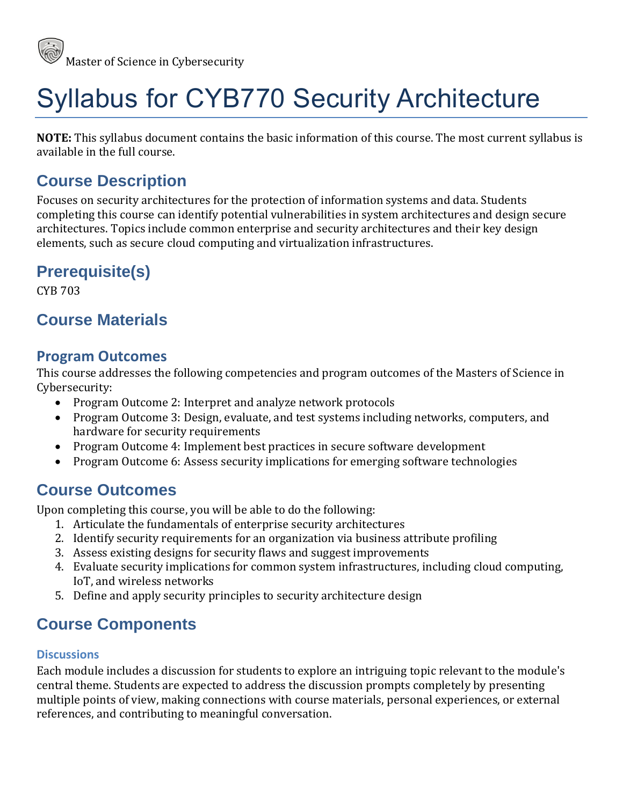

# Syllabus for CYB770 Security Architecture

**NOTE:** This syllabus document contains the basic information of this course. The most current syllabus is available in the full course.

### **Course Description**

Focuses on security architectures for the protection of information systems and data. Students completing this course can identify potential vulnerabilities in system architectures and design secure architectures. Topics include common enterprise and security architectures and their key design elements, such as secure cloud computing and virtualization infrastructures.

## **Prerequisite(s)**

CYB 703

### **Course Materials**

#### **Program Outcomes**

This course addresses the following competencies and program outcomes of the Masters of Science in Cybersecurity:

- Program Outcome 2: Interpret and analyze network protocols
- Program Outcome 3: Design, evaluate, and test systems including networks, computers, and hardware for security requirements
- Program Outcome 4: Implement best practices in secure software development
- Program Outcome 6: Assess security implications for emerging software technologies

### **Course Outcomes**

Upon completing this course, you will be able to do the following:

- 1. Articulate the fundamentals of enterprise security architectures
- 2. Identify security requirements for an organization via business attribute profiling
- 3. Assess existing designs for security flaws and suggest improvements
- 4. Evaluate security implications for common system infrastructures, including cloud computing, IoT, and wireless networks
- 5. Define and apply security principles to security architecture design

# **Course Components**

#### **Discussions**

Each module includes a discussion for students to explore an intriguing topic relevant to the module's central theme. Students are expected to address the discussion prompts completely by presenting multiple points of view, making connections with course materials, personal experiences, or external references, and contributing to meaningful conversation.